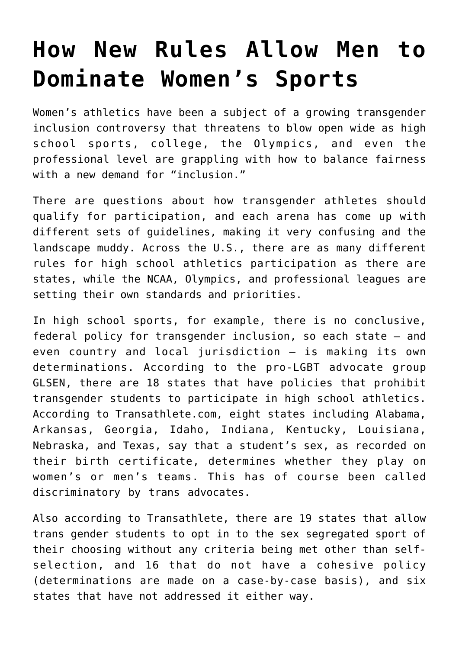## **[How New Rules Allow Men to](https://intellectualtakeout.org/2020/01/how-new-rules-allow-men-to-dominate-womens-sports/) [Dominate Women's Sports](https://intellectualtakeout.org/2020/01/how-new-rules-allow-men-to-dominate-womens-sports/)**

Women's athletics have been a subject of a growing transgender inclusion controversy that threatens to blow open wide as high school sports, college, the Olympics, and even the professional level are grappling with how to balance fairness with a new demand for "inclusion."

There are questions about how transgender athletes should qualify for participation, and each arena has come up with different sets of guidelines, making it very confusing and the landscape muddy. Across the U.S., there are as many different rules for high school athletics participation as there are states, while the NCAA, Olympics, and professional leagues are setting their own standards and priorities.

In high school sports, for example, there is no conclusive, federal policy for transgender inclusion, so each state – and even country and local jurisdiction – is making its own determinations. According to the pro-LGBT advocate group GLSEN, there are 18 states that have policies that prohibit transgender students to participate in high school athletics. According to Transathlete.com, eight states including Alabama, Arkansas, Georgia, Idaho, Indiana, Kentucky, Louisiana, Nebraska, and Texas, say that a student's sex, as recorded on their birth certificate, determines whether they play on women's or men's teams. This has of course been called discriminatory by trans advocates.

Also according to Transathlete, there are 19 states that allow trans gender students to opt in to the sex segregated sport of their choosing without any criteria being met other than selfselection, and 16 that do not have a cohesive policy (determinations are made on a case-by-case basis), and six states that have not addressed it either way.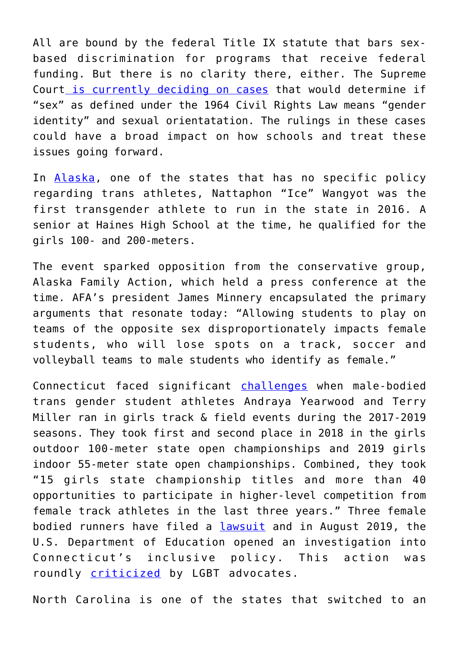All are bound by the federal Title IX statute that bars sexbased discrimination for programs that receive federal funding. But there is no clarity there, either. The Supreme Court [is currently deciding on cases](https://www.nytimes.com/2019/10/08/us/politics/supreme-court-gay-transgender.html) that would determine if "sex" as defined under the 1964 Civil Rights Law means "gender identity" and sexual orientatation. The rulings in these cases could have a broad impact on how schools and treat these issues going forward.

In [Alaska,](https://www.adn.com/sports/2016/05/27/at-alaska-state-track-meet-a-transgender-athlete-makes-her-mark/) one of the states that has no specific policy regarding trans athletes, Nattaphon "Ice" Wangyot was the first transgender athlete to run in the state in 2016. A senior at Haines High School at the time, he qualified for the girls 100- and 200-meters.

The event sparked opposition from the conservative group, Alaska Family Action, which held a press conference at the time. AFA's president James Minnery encapsulated the primary arguments that resonate today: "Allowing students to play on teams of the opposite sex disproportionately impacts female students, who will lose spots on a track, soccer and volleyball teams to male students who identify as female."

Connecticut faced significant [challenges](http://www.bpnews.net/53463/high-school-sports-and-transgender-athletes) when male-bodied trans gender student athletes Andraya Yearwood and Terry Miller ran in girls track & field events during the 2017-2019 seasons. They took first and second place in 2018 in the girls outdoor 100-meter state open championships and 2019 girls indoor 55-meter state open championships. Combined, they took "15 girls state championship titles and more than 40 opportunities to participate in higher-level competition from female track athletes in the last three years." Three female bodied runners have filed a [lawsuit](https://www.cbsnews.com/news/connecticut-transgender-athletes-face-federal-discrimination-complaint-from-females-over-title-ix-violations/) and in August 2019, the U.S. Department of Education opened an investigation into Connecticut's inclusive policy. This action was roundly **[criticized](https://slate.com/news-and-politics/2019/08/trump-education-department-title-ix-trans-athletes-discrimination.html)** by LGBT advocates.

North Carolina is one of the states that switched to an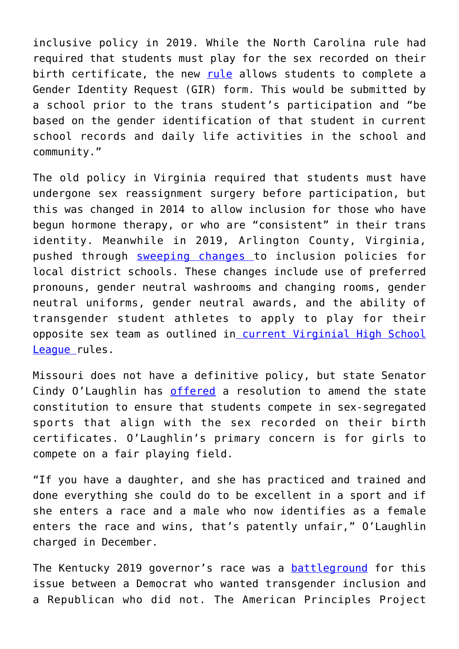inclusive policy in 2019. While the North Carolina rule had required that students must play for the sex recorded on their birth certificate, the new [rule](https://usatodayhss.com/2019/north-carolina-high-school-sports-step-toward-inclusion-transgender-athletes) allows students to complete a Gender Identity Request (GIR) form. This would be submitted by a school prior to the trans student's participation and "be based on the gender identification of that student in current school records and daily life activities in the school and community."

The old policy in Virginia required that students must have undergone sex reassignment surgery before participation, but this was changed in 2014 to allow inclusion for those who have begun hormone therapy, or who are "consistent" in their trans identity. Meanwhile in 2019, Arlington County, Virginia, pushed through [sweeping changes](https://www.apsva.us/wp-content/uploads/2019/05/J-2-PIP-2-Transgender-Youth-Updated-for-Feedback-1.pdf) to inclusion policies for local district schools. These changes include use of preferred pronouns, gender neutral washrooms and changing rooms, gender neutral uniforms, gender neutral awards, and the ability of transgender student athletes to apply to play for their opposite sex team as outlined in [current Virginial High School](https://www.nbc12.com/story/32114768/equality-virginia-vhsl-transgender-policy-leading-the-south-and-nation/) [League](https://www.nbc12.com/story/32114768/equality-virginia-vhsl-transgender-policy-leading-the-south-and-nation/) rules.

Missouri does not have a definitive policy, but state Senator Cindy O'Laughlin has [offered](https://www.newsweek.com/missouri-senator-wants-amend-state-constitution-force-schools-make-trans-athletes-compete-1475997) a resolution to amend the state constitution to ensure that students compete in sex-segregated sports that align with the sex recorded on their birth certificates. O'Laughlin's primary concern is for girls to compete on a fair playing field.

"If you have a daughter, and she has practiced and trained and done everything she could do to be excellent in a sport and if she enters a race and a male who now identifies as a female enters the race and wins, that's patently unfair," O'Laughlin charged in December.

The Kentucky 2019 governor's race was a **[battleground](https://www.nytimes.com/2019/11/03/us/politics/kentucky-transgender-school-sports.html)** for this issue between a Democrat who wanted transgender inclusion and a Republican who did not. The American Principles Project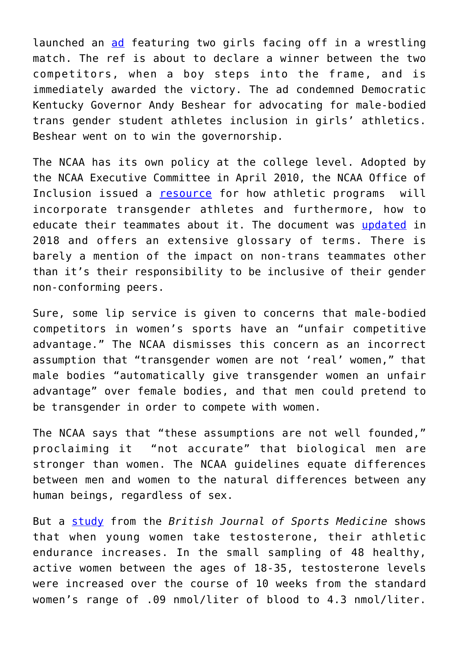launched an [ad](https://www.youtube.com/watch?v=Qm1gEdtl06M&feature=youtu.be) featuring two girls facing off in a wrestling match. The ref is about to declare a winner between the two competitors, when a boy steps into the frame, and is immediately awarded the victory. The ad condemned Democratic Kentucky Governor Andy Beshear for advocating for male-bodied trans gender student athletes inclusion in girls' athletics. Beshear went on to win the governorship.

The NCAA has its own policy at the college level. Adopted by the NCAA Executive Committee in April 2010, the NCAA Office of Inclusion issued a [resource](https://www.ncaa.org/sites/default/files/Transgender_Handbook_2011_Final.pdf) for how athletic programs will incorporate transgender athletes and furthermore, how to educate their teammates about it. The document was [updated](https://www.ncaa.org/sites/default/files/2018INC_Supporting_Transgender_And_Gender_Expansive_Student_Athletes_20180418.pdf) in 2018 and offers an extensive glossary of terms. There is barely a mention of the impact on non-trans teammates other than it's their responsibility to be inclusive of their gender non-conforming peers.

Sure, some lip service is given to concerns that male-bodied competitors in women's sports have an "unfair competitive advantage." The NCAA dismisses this concern as an incorrect assumption that "transgender women are not 'real' women," that male bodies "automatically give transgender women an unfair advantage" over female bodies, and that men could pretend to be transgender in order to compete with women.

The NCAA says that "these assumptions are not well founded," proclaiming it "not accurate" that biological men are stronger than women. The NCAA guidelines equate differences between men and women to the natural differences between any human beings, regardless of sex.

But a [study](https://www.sciencedaily.com/releases/2019/10/191015192942.htm) from the *British Journal of Sports Medicine* shows that when young women take testosterone, their athletic endurance increases. In the small sampling of 48 healthy, active women between the ages of 18-35, testosterone levels were increased over the course of 10 weeks from the standard women's range of .09 nmol/liter of blood to 4.3 nmol/liter.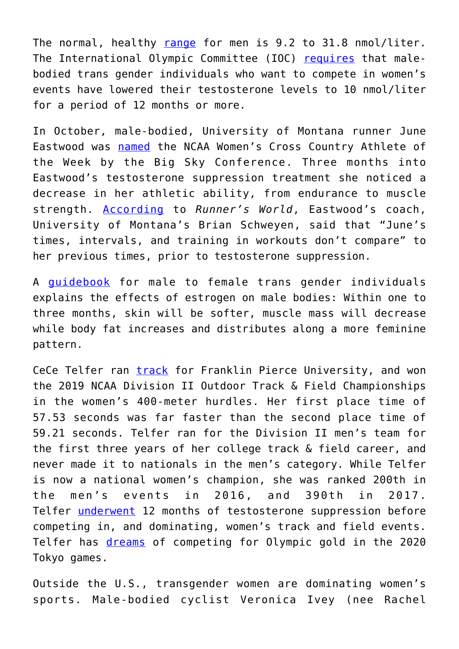The normal, healthy [range](https://www.realclearscience.com/articles/2019/04/19/what_is_a_normal_level_of_testosterone_110949.html) for men is 9.2 to 31.8 nmol/liter. The International Olympic Committee (IOC) [requires](https://www.channel4.com/news/factcheck/factcheck-what-is-the-row-about-transgender-athletes-all-about) that malebodied trans gender individuals who want to compete in women's events have lowered their testosterone levels to 10 nmol/liter for a period of 12 months or more.

In October, male-bodied, University of Montana runner June Eastwood was [named](https://www.washingtontimes.com/news/2019/oct/30/june-eastwood-montana-transgender-runner-named-big/) the NCAA Women's Cross Country Athlete of the Week by the Big Sky Conference. Three months into Eastwood's testosterone suppression treatment she noticed a decrease in her athletic ability, from endurance to muscle strength. [According](https://www.runnersworld.com/runners-stories/a28875180/june-eastwood-first-transgender-runner-di-cross-country/) to *Runner's World*, Eastwood's coach, University of Montana's Brian Schweyen, said that "June's times, intervals, and training in workouts don't compare" to her previous times, prior to testosterone suppression.

A [guidebook](https://d31kydh6n6r5j5.cloudfront.net/uploads/sites/161/2019/08/hormones_MTF.pdf) for male to female trans gender individuals explains the effects of estrogen on male bodies: Within one to three months, skin will be softer, muscle mass will decrease while body fat increases and distributes along a more feminine pattern.

CeCe Telfer ran **[track](https://www.letsrun.com/news/2019/05/what-no-one-is-telling-you-an-athlete-who-ran-ncaa-track-as-a-man-for-3-years-just-won-an-ncaa-womens-title/)** for Franklin Pierce University, and won the 2019 NCAA Division II Outdoor Track & Field Championships in the women's 400-meter hurdles. Her first place time of 57.53 seconds was far faster than the second place time of 59.21 seconds. Telfer ran for the Division II men's team for the first three years of her college track & field career, and never made it to nationals in the men's category. While Telfer is now a national women's champion, she was ranked 200th in the men's events in 2016, and 390th in 2017. Telfer [underwent](https://www.wmur.com/article/franklin-pierce-universitys-cece-telfer-wins-womens-400-meter-hurdles-at-ncaa-championship/27672763) 12 months of testosterone suppression before competing in, and dominating, women's track and field events. Telfer has [dreams](https://www.outsports.com/2019/12/26/21034806/outsports-female-athlete-year-cece-telfer-ncaa-transgender) of competing for Olympic gold in the 2020 Tokyo games.

Outside the U.S., transgender women are dominating women's sports. Male-bodied cyclist Veronica Ivey (nee Rachel